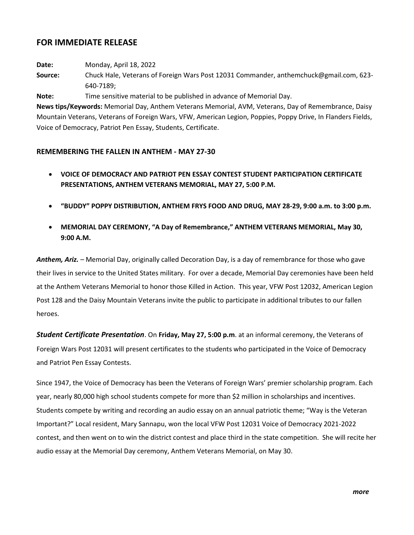## **FOR IMMEDIATE RELEASE**

**Date:** Monday, April 18, 2022

**Source:** Chuck Hale, Veterans of Foreign Wars Post 12031 Commander, anthemchuck@gmail.com, 623- 640-7189;

**Note:** Time sensitive material to be published in advance of Memorial Day.

**News tips/Keywords:** Memorial Day, Anthem Veterans Memorial, AVM, Veterans, Day of Remembrance, Daisy Mountain Veterans, Veterans of Foreign Wars, VFW, American Legion, Poppies, Poppy Drive, In Flanders Fields, Voice of Democracy, Patriot Pen Essay, Students, Certificate.

## **REMEMBERING THE FALLEN IN ANTHEM - MAY 27-30**

- **VOICE OF DEMOCRACY AND PATRIOT PEN ESSAY CONTEST STUDENT PARTICIPATION CERTIFICATE PRESENTATIONS, ANTHEM VETERANS MEMORIAL, MAY 27, 5:00 P.M.**
- **"BUDDY" POPPY DISTRIBUTION, ANTHEM FRYS FOOD AND DRUG, MAY 28-29, 9:00 a.m. to 3:00 p.m.**
- **MEMORIAL DAY CEREMONY, "A Day of Remembrance," ANTHEM VETERANS MEMORIAL, May 30, 9:00 A.M.**

*Anthem, Ariz. –* Memorial Day, originally called Decoration Day, is a day of remembrance for those who gave their lives in service to the United States military. For over a decade, Memorial Day ceremonies have been held at the Anthem Veterans Memorial to honor those Killed in Action. This year, VFW Post 12032, American Legion Post 128 and the Daisy Mountain Veterans invite the public to participate in additional tributes to our fallen heroes.

*Student Certificate Presentation*. On **Friday, May 27, 5:00 p.m**. at an informal ceremony, the Veterans of Foreign Wars Post 12031 will present certificates to the students who participated in the Voice of Democracy and Patriot Pen Essay Contests.

Since 1947, the Voice of Democracy has been the Veterans of Foreign Wars' premier scholarship program. Each year, nearly 80,000 high school students compete for more than \$2 million in scholarships and incentives. Students compete by writing and recording an audio essay on an annual patriotic theme; "Way is the Veteran Important?" Local resident, Mary Sannapu, won the local VFW Post 12031 Voice of Democracy 2021-2022 contest, and then went on to win the district contest and place third in the state competition. She will recite her audio essay at the Memorial Day ceremony, Anthem Veterans Memorial, on May 30.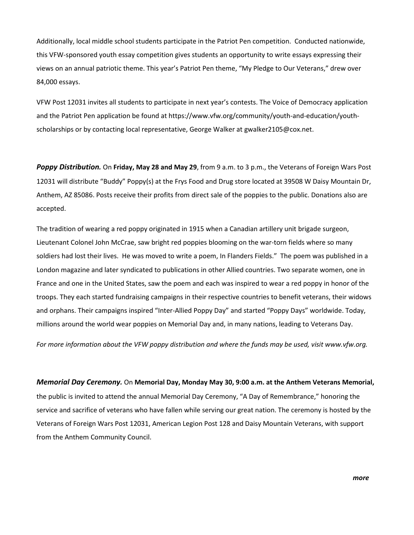Additionally, local middle school students participate in the Patriot Pen competition. Conducted nationwide, this VFW-sponsored youth essay competition gives students an opportunity to write essays expressing their views on an annual patriotic theme. This year's Patriot Pen theme, "My Pledge to Our Veterans," drew over 84,000 essays.

VFW Post 12031 invites all students to participate in next year's contests. The Voice of Democracy application and the Patriot Pen application be found at https://www.vfw.org/community/youth-and-education/youthscholarships or by contacting local representative, George Walker at gwalker2105@cox.net.

*Poppy Distribution.* On **Friday, May 28 and May 29**, from 9 a.m. to 3 p.m., the Veterans of Foreign Wars Post 12031 will distribute "Buddy" Poppy(s) at the Frys Food and Drug store located at 39508 W Daisy Mountain Dr, Anthem, AZ 85086. Posts receive their profits from direct sale of the poppies to the public. Donations also are accepted.

The tradition of wearing a red poppy originated in 1915 when a Canadian artillery unit brigade surgeon, Lieutenant Colonel John McCrae, saw bright red poppies blooming on the war-torn fields where so many soldiers had lost their lives. He was moved to write a poem, In Flanders Fields." The poem was published in a London magazine and later syndicated to publications in other Allied countries. Two separate women, one in France and one in the United States, saw the poem and each was inspired to wear a red poppy in honor of the troops. They each started fundraising campaigns in their respective countries to benefit veterans, their widows and orphans. Their campaigns inspired "Inter-Allied Poppy Day" and started "Poppy Days" worldwide. Today, millions around the world wear poppies on Memorial Day and, in many nations, leading to Veterans Day.

*For more information about the VFW poppy distribution and where the funds may be used, visit www.vfw.org.*

*Memorial Day Ceremony.* On **Memorial Day, Monday May 30, 9:00 a.m. at the Anthem Veterans Memorial,**  the public is invited to attend the annual Memorial Day Ceremony, "A Day of Remembrance," honoring the service and sacrifice of veterans who have fallen while serving our great nation. The ceremony is hosted by the Veterans of Foreign Wars Post 12031, American Legion Post 128 and Daisy Mountain Veterans, with support from the Anthem Community Council.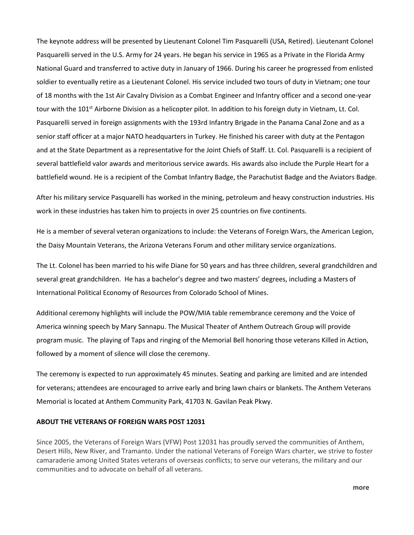The keynote address will be presented by Lieutenant Colonel Tim Pasquarelli (USA, Retired). Lieutenant Colonel Pasquarelli served in the U.S. Army for 24 years. He began his service in 1965 as a Private in the Florida Army National Guard and transferred to active duty in January of 1966. During his career he progressed from enlisted soldier to eventually retire as a Lieutenant Colonel. His service included two tours of duty in Vietnam; one tour of 18 months with the 1st Air Cavalry Division as a Combat Engineer and Infantry officer and a second one-year tour with the 101<sup>st</sup> Airborne Division as a helicopter pilot. In addition to his foreign duty in Vietnam, Lt. Col. Pasquarelli served in foreign assignments with the 193rd Infantry Brigade in the Panama Canal Zone and as a senior staff officer at a major NATO headquarters in Turkey. He finished his career with duty at the Pentagon and at the State Department as a representative for the Joint Chiefs of Staff. Lt. Col. Pasquarelli is a recipient of several battlefield valor awards and meritorious service awards. His awards also include the Purple Heart for a battlefield wound. He is a recipient of the Combat Infantry Badge, the Parachutist Badge and the Aviators Badge.

After his military service Pasquarelli has worked in the mining, petroleum and heavy construction industries. His work in these industries has taken him to projects in over 25 countries on five continents.

He is a member of several veteran organizations to include: the Veterans of Foreign Wars, the American Legion, the Daisy Mountain Veterans, the Arizona Veterans Forum and other military service organizations.

The Lt. Colonel has been married to his wife Diane for 50 years and has three children, several grandchildren and several great grandchildren. He has a bachelor's degree and two masters' degrees, including a Masters of International Political Economy of Resources from Colorado School of Mines.

Additional ceremony highlights will include the POW/MIA table remembrance ceremony and the Voice of America winning speech by Mary Sannapu. The Musical Theater of Anthem Outreach Group will provide program music. The playing of Taps and ringing of the Memorial Bell honoring those veterans Killed in Action, followed by a moment of silence will close the ceremony.

The ceremony is expected to run approximately 45 minutes. Seating and parking are limited and are intended for veterans; attendees are encouraged to arrive early and bring lawn chairs or blankets. The Anthem Veterans Memorial is located at Anthem Community Park, 41703 N. Gavilan Peak Pkwy.

## **ABOUT THE VETERANS OF FOREIGN WARS POST 12031**

Since 2005, the Veterans of Foreign Wars (VFW) Post 12031 has proudly served the communities of Anthem, Desert Hills, New River, and Tramanto. Under the national Veterans of Foreign Wars charter, we strive to foster camaraderie among United States veterans of overseas conflicts; to serve our veterans, the military and our communities and to advocate on behalf of all veterans.